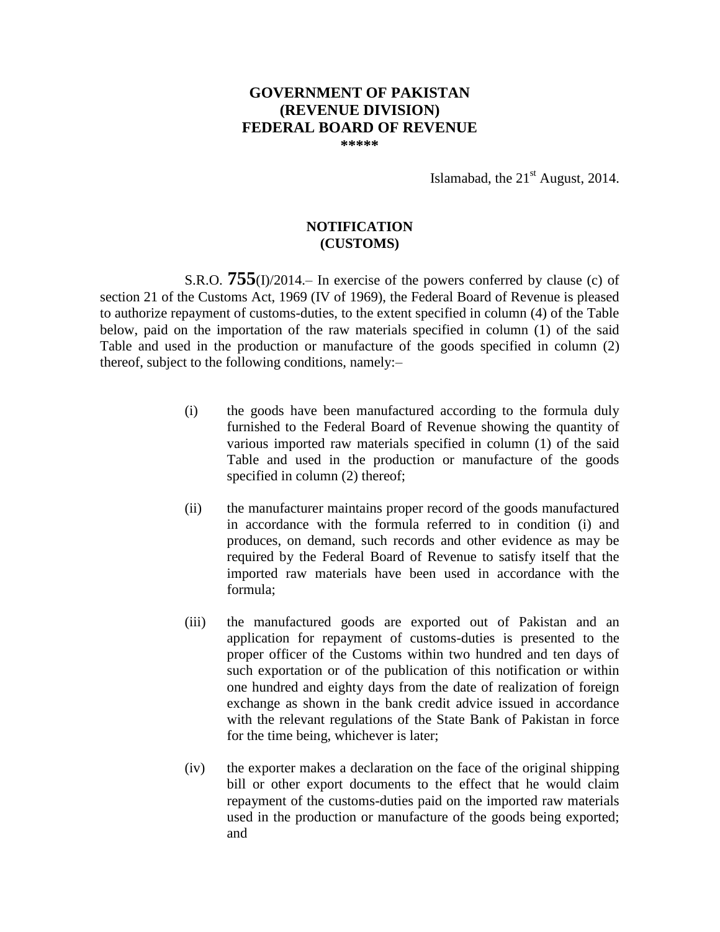## **GOVERNMENT OF PAKISTAN (REVENUE DIVISION) FEDERAL BOARD OF REVENUE**

**\*\*\*\*\***

Islamabad, the  $21<sup>st</sup>$  August, 2014.

## **NOTIFICATION (CUSTOMS)**

S.R.O. **755**(I)/2014.– In exercise of the powers conferred by clause (c) of section 21 of the Customs Act, 1969 (IV of 1969), the Federal Board of Revenue is pleased to authorize repayment of customs-duties, to the extent specified in column (4) of the Table below, paid on the importation of the raw materials specified in column (1) of the said Table and used in the production or manufacture of the goods specified in column (2) thereof, subject to the following conditions, namely:–

- (i) the goods have been manufactured according to the formula duly furnished to the Federal Board of Revenue showing the quantity of various imported raw materials specified in column (1) of the said Table and used in the production or manufacture of the goods specified in column (2) thereof;
- (ii) the manufacturer maintains proper record of the goods manufactured in accordance with the formula referred to in condition (i) and produces, on demand, such records and other evidence as may be required by the Federal Board of Revenue to satisfy itself that the imported raw materials have been used in accordance with the formula;
- (iii) the manufactured goods are exported out of Pakistan and an application for repayment of customs-duties is presented to the proper officer of the Customs within two hundred and ten days of such exportation or of the publication of this notification or within one hundred and eighty days from the date of realization of foreign exchange as shown in the bank credit advice issued in accordance with the relevant regulations of the State Bank of Pakistan in force for the time being, whichever is later;
- (iv) the exporter makes a declaration on the face of the original shipping bill or other export documents to the effect that he would claim repayment of the customs-duties paid on the imported raw materials used in the production or manufacture of the goods being exported; and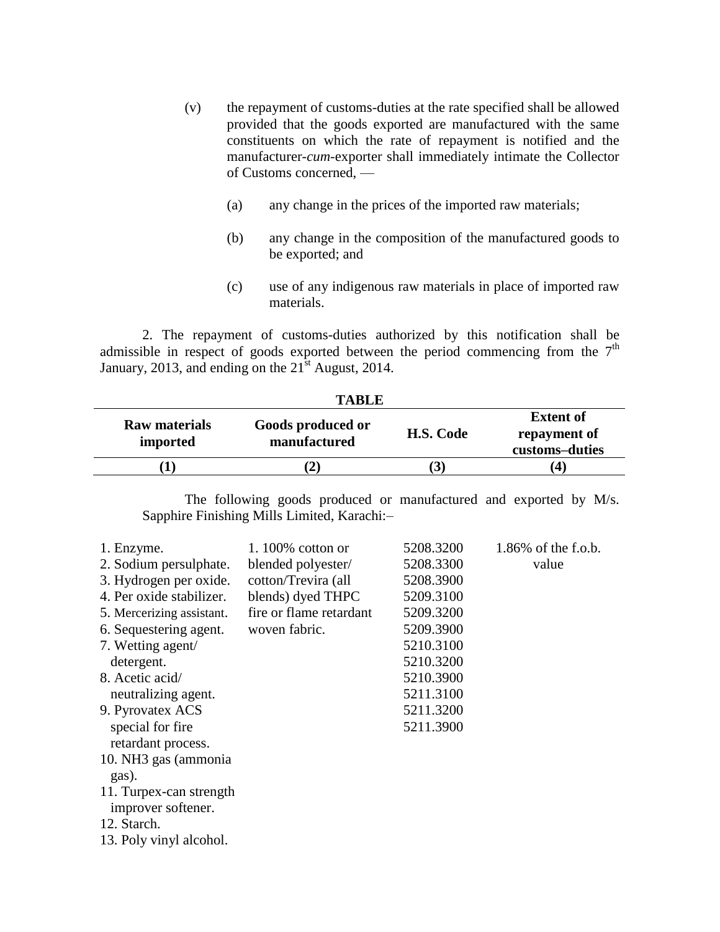- (v) the repayment of customs-duties at the rate specified shall be allowed provided that the goods exported are manufactured with the same constituents on which the rate of repayment is notified and the manufacturer-*cum*-exporter shall immediately intimate the Collector of Customs concerned, —
	- (a) any change in the prices of the imported raw materials;
	- (b) any change in the composition of the manufactured goods to be exported; and
	- (c) use of any indigenous raw materials in place of imported raw materials.

2. The repayment of customs-duties authorized by this notification shall be admissible in respect of goods exported between the period commencing from the  $7<sup>th</sup>$ January, 2013, and ending on the  $21<sup>st</sup>$  August, 2014.

| TABLE                             |                      |                                                    |  |
|-----------------------------------|----------------------|----------------------------------------------------|--|
| Goods produced or<br>manufactured | H.S. Code            | <b>Extent of</b><br>repayment of<br>customs-duties |  |
|                                   | $\mathbf{3}$         | 4                                                  |  |
|                                   | <b>Raw materials</b> |                                                    |  |

**TABLE** 

The following goods produced or manufactured and exported by M/s. Sapphire Finishing Mills Limited, Karachi:–

| 1. Enzyme.<br>2. Sodium persulphate.          | 1.100\% cotton or<br>blended polyester/ | 5208.3200<br>5208.3300 | $1.86\%$ of the f.o.b.<br>value |
|-----------------------------------------------|-----------------------------------------|------------------------|---------------------------------|
| 3. Hydrogen per oxide.                        | cotton/Trevira (all                     | 5208.3900              |                                 |
| 4. Per oxide stabilizer.                      | blends) dyed THPC                       | 5209.3100              |                                 |
| 5. Mercerizing assistant.                     | fire or flame retardant                 | 5209.3200              |                                 |
| 6. Sequestering agent.                        | woven fabric.                           | 5209.3900              |                                 |
| 7. Wetting agent/                             |                                         | 5210.3100              |                                 |
| detergent.                                    |                                         | 5210.3200              |                                 |
| 8. Acetic acid/                               |                                         | 5210.3900              |                                 |
| neutralizing agent.                           |                                         | 5211.3100              |                                 |
| 9. Pyrovatex ACS                              |                                         | 5211.3200              |                                 |
| special for fire<br>retardant process.        |                                         | 5211.3900              |                                 |
| 10. NH3 gas (ammonia)<br>gas).                |                                         |                        |                                 |
| 11. Turpex-can strength<br>improver softener. |                                         |                        |                                 |
| 12. Starch.                                   |                                         |                        |                                 |
| 13. Poly vinyl alcohol.                       |                                         |                        |                                 |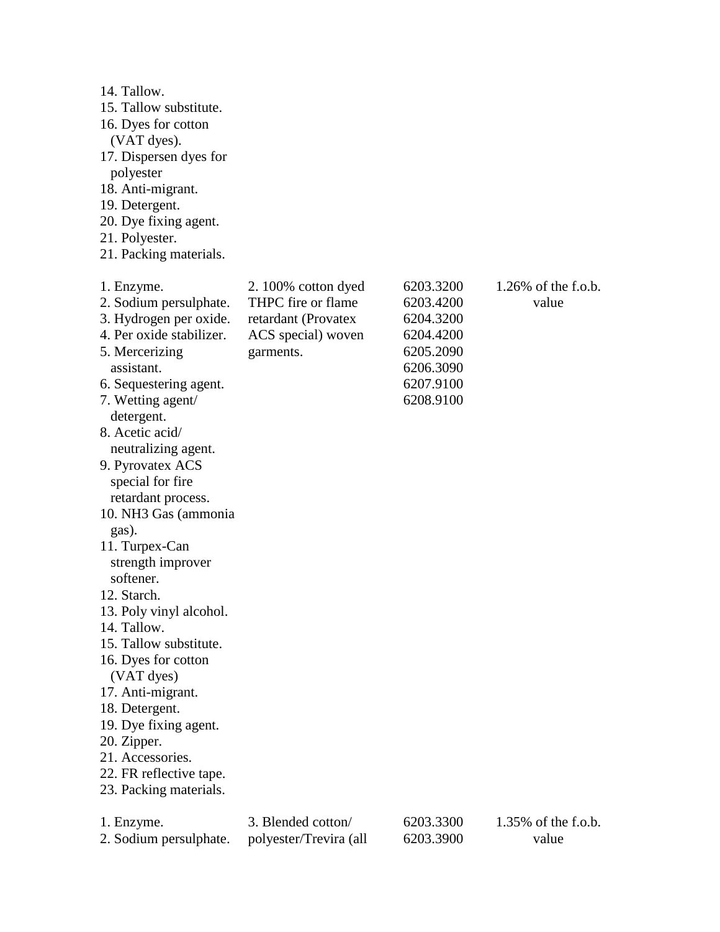| 14. Tallow.<br>15. Tallow substitute.<br>16. Dyes for cotton<br>(VAT dyes).<br>17. Dispersen dyes for<br>polyester<br>18. Anti-migrant.<br>19. Detergent.<br>20. Dye fixing agent.<br>21. Polyester.<br>21. Packing materials.                                                                                                                                                                                                                                                                                                                                                                                                                                       |                                                                                                    |                                                                                                      |                                 |
|----------------------------------------------------------------------------------------------------------------------------------------------------------------------------------------------------------------------------------------------------------------------------------------------------------------------------------------------------------------------------------------------------------------------------------------------------------------------------------------------------------------------------------------------------------------------------------------------------------------------------------------------------------------------|----------------------------------------------------------------------------------------------------|------------------------------------------------------------------------------------------------------|---------------------------------|
| 1. Enzyme.<br>2. Sodium persulphate.<br>3. Hydrogen per oxide.<br>4. Per oxide stabilizer.<br>5. Mercerizing<br>assistant.<br>6. Sequestering agent.<br>7. Wetting agent/<br>detergent.<br>8. Acetic acid/<br>neutralizing agent.<br>9. Pyrovatex ACS<br>special for fire<br>retardant process.<br>10. NH3 Gas (ammonia<br>gas).<br>11. Turpex-Can<br>strength improver<br>softener.<br>12. Starch.<br>13. Poly vinyl alcohol.<br>14. Tallow.<br>15. Tallow substitute.<br>16. Dyes for cotton<br>(VAT dyes)<br>17. Anti-migrant.<br>18. Detergent.<br>19. Dye fixing agent.<br>20. Zipper.<br>21. Accessories.<br>22. FR reflective tape.<br>23. Packing materials. | 2.100% cotton dyed<br>THPC fire or flame<br>retardant (Provatex<br>ACS special) woven<br>garments. | 6203.3200<br>6203.4200<br>6204.3200<br>6204.4200<br>6205.2090<br>6206.3090<br>6207.9100<br>6208.9100 | $1.26\%$ of the f.o.b.<br>value |
| 1. Enzyme.<br>2. Sodium persulphate.                                                                                                                                                                                                                                                                                                                                                                                                                                                                                                                                                                                                                                 | 3. Blended cotton/<br>polyester/Trevira (all                                                       | 6203.3300<br>6203.3900                                                                               | 1.35% of the f.o.b.<br>value    |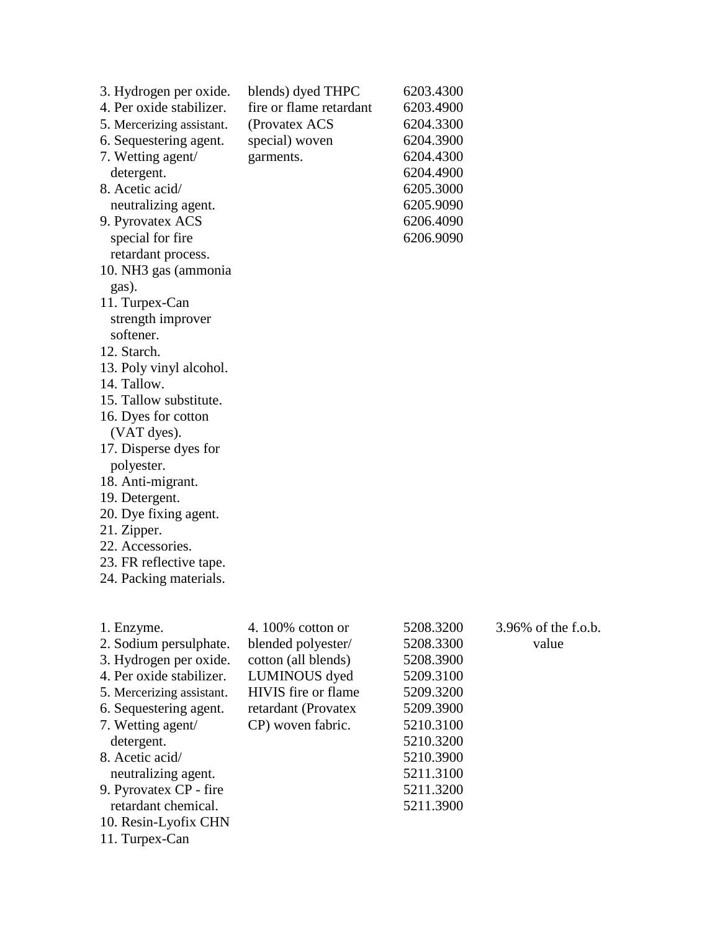| 19. Detergent.<br>20. Dye fixing agent.<br>21. Zipper.<br>22. Accessories.<br>23. FR reflective tape.<br>24. Packing materials. |
|---------------------------------------------------------------------------------------------------------------------------------|
|---------------------------------------------------------------------------------------------------------------------------------|

| 1. Enzyme.                | 4.100\% cotton or   | 5208.3200 | 3.96% of the f.o.b. |
|---------------------------|---------------------|-----------|---------------------|
| 2. Sodium persulphate.    | blended polyester/  | 5208.3300 | value               |
| 3. Hydrogen per oxide.    | cotton (all blends) | 5208.3900 |                     |
| 4. Per oxide stabilizer.  | LUMINOUS dyed       | 5209.3100 |                     |
| 5. Mercerizing assistant. | HIVIS fire or flame | 5209.3200 |                     |
| 6. Sequestering agent.    | retardant (Provatex | 5209.3900 |                     |
| 7. Wetting agent/         | CP) woven fabric.   | 5210.3100 |                     |
| detergent.                |                     | 5210.3200 |                     |
| 8. Acetic acid/           |                     | 5210.3900 |                     |
| neutralizing agent.       |                     | 5211.3100 |                     |
| 9. Pyrovatex CP - fire    |                     | 5211.3200 |                     |
| retardant chemical.       |                     | 5211.3900 |                     |
| 10. Resin-Lyofix CHN      |                     |           |                     |
| 11. Turpex-Can            |                     |           |                     |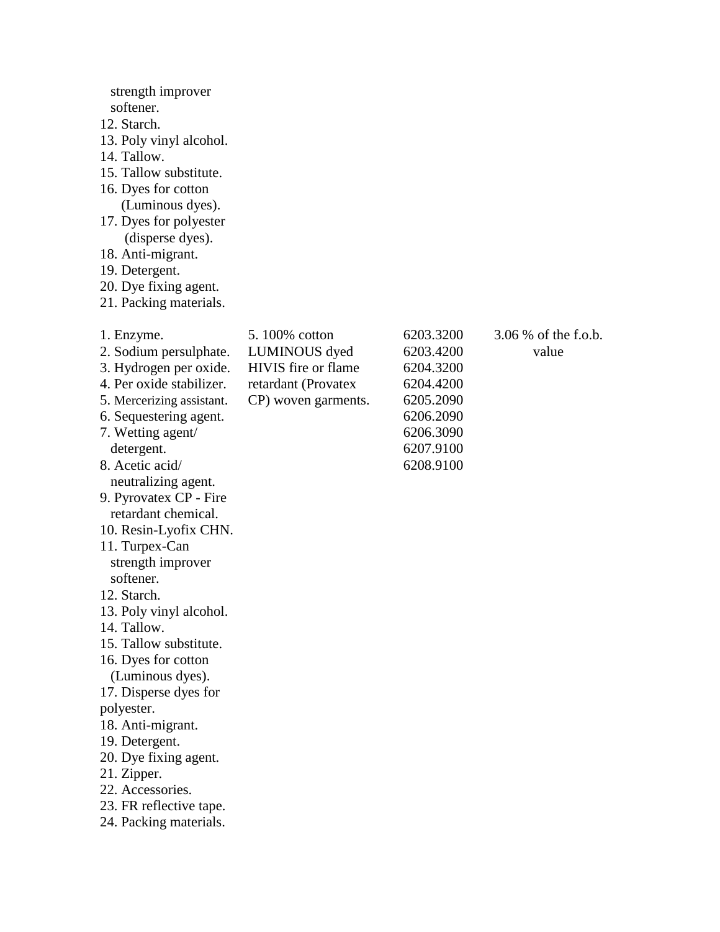| strength improver<br>softener.<br>12. Starch.<br>13. Poly vinyl alcohol.<br>14. Tallow.<br>15. Tallow substitute.<br>16. Dyes for cotton<br>(Luminous dyes).<br>17. Dyes for polyester<br>(disperse dyes).<br>18. Anti-migrant.<br>19. Detergent.<br>20. Dye fixing agent.<br>21. Packing materials.                                                                                                                                                                                                                                                                                                                                                            |                                                                                                     |                                                                                                                   |                               |
|-----------------------------------------------------------------------------------------------------------------------------------------------------------------------------------------------------------------------------------------------------------------------------------------------------------------------------------------------------------------------------------------------------------------------------------------------------------------------------------------------------------------------------------------------------------------------------------------------------------------------------------------------------------------|-----------------------------------------------------------------------------------------------------|-------------------------------------------------------------------------------------------------------------------|-------------------------------|
| 1. Enzyme.<br>2. Sodium persulphate.<br>3. Hydrogen per oxide.<br>4. Per oxide stabilizer.<br>5. Mercerizing assistant.<br>6. Sequestering agent.<br>7. Wetting agent/<br>detergent.<br>8. Acetic acid/<br>neutralizing agent.<br>9. Pyrovatex CP - Fire<br>retardant chemical.<br>10. Resin-Lyofix CHN.<br>11. Turpex-Can<br>strength improver<br>softener.<br>12. Starch.<br>13. Poly vinyl alcohol.<br>14. Tallow.<br>15. Tallow substitute.<br>16. Dyes for cotton<br>(Luminous dyes).<br>17. Disperse dyes for<br>polyester.<br>18. Anti-migrant.<br>19. Detergent.<br>20. Dye fixing agent.<br>21. Zipper.<br>22. Accessories.<br>23. FR reflective tape. | 5.100% cotton<br>LUMINOUS dyed<br>HIVIS fire or flame<br>retardant (Provatex<br>CP) woven garments. | 6203.3200<br>6203.4200<br>6204.3200<br>6204.4200<br>6205.2090<br>6206.2090<br>6206.3090<br>6207.9100<br>6208.9100 | 3.06 % of the f.o.b.<br>value |

24. Packing materials.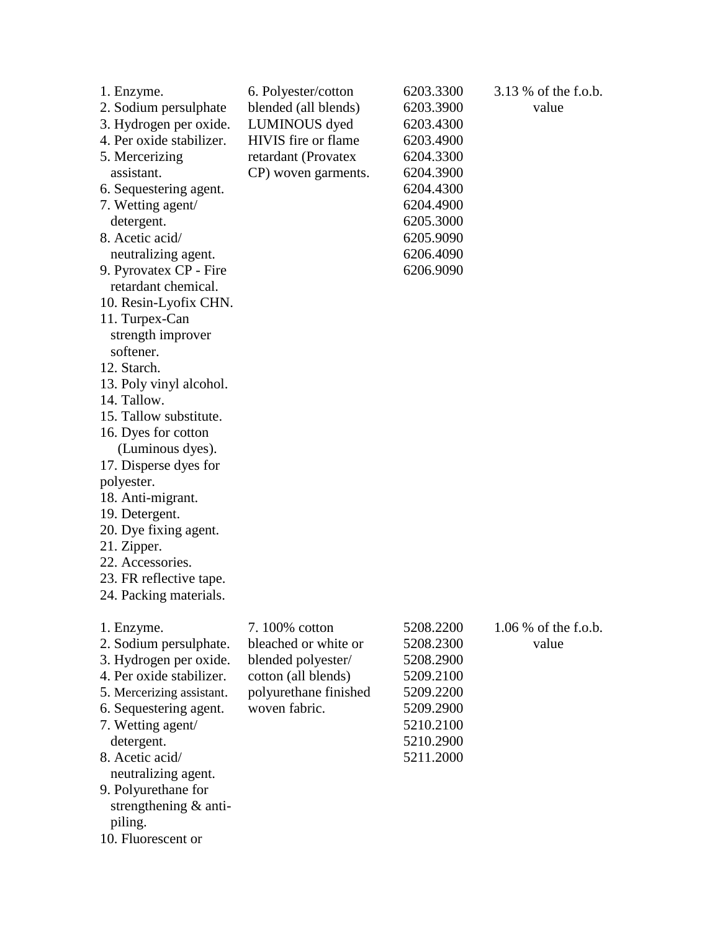| 1. Enzyme.<br>2. Sodium persulphate<br>3. Hydrogen per oxide.<br>4. Per oxide stabilizer.<br>5. Mercerizing<br>assistant.<br>6. Sequestering agent.<br>7. Wetting agent/<br>detergent.<br>8. Acetic acid/<br>neutralizing agent.<br>9. Pyrovatex CP - Fire<br>retardant chemical.<br>10. Resin-Lyofix CHN.<br>11. Turpex-Can<br>strength improver<br>softener.<br>12. Starch.<br>13. Poly vinyl alcohol.<br>14. Tallow.<br>15. Tallow substitute.<br>16. Dyes for cotton<br>(Luminous dyes).<br>17. Disperse dyes for<br>polyester.<br>18. Anti-migrant.<br>19. Detergent.<br>20. Dye fixing agent.<br>21. Zipper.<br>22. Accessories.<br>23. FR reflective tape.<br>24. Packing materials. | 6. Polyester/cotton<br>blended (all blends)<br>LUMINOUS dyed<br>HIVIS fire or flame<br>retardant (Provatex<br>CP) woven garments. | 6203.3300<br>6203.3900<br>6203.4300<br>6203.4900<br>6204.3300<br>6204.3900<br>6204.4300<br>6204.4900<br>6205.3000<br>6205.9090<br>6206.4090<br>6206.9090 | 3.13 % of the f.o.b.<br>value   |
|---------------------------------------------------------------------------------------------------------------------------------------------------------------------------------------------------------------------------------------------------------------------------------------------------------------------------------------------------------------------------------------------------------------------------------------------------------------------------------------------------------------------------------------------------------------------------------------------------------------------------------------------------------------------------------------------|-----------------------------------------------------------------------------------------------------------------------------------|----------------------------------------------------------------------------------------------------------------------------------------------------------|---------------------------------|
| 1. Enzyme.<br>2. Sodium persulphate.<br>3. Hydrogen per oxide.<br>4. Per oxide stabilizer.<br>5. Mercerizing assistant.<br>6. Sequestering agent.<br>7. Wetting agent/<br>detergent.<br>8. Acetic acid/<br>neutralizing agent.<br>9. Polyurethane for<br>strengthening & anti-<br>piling.<br>10. Fluorescent or                                                                                                                                                                                                                                                                                                                                                                             | 7.100% cotton<br>bleached or white or<br>blended polyester/<br>cotton (all blends)<br>polyurethane finished<br>woven fabric.      | 5208.2200<br>5208.2300<br>5208.2900<br>5209.2100<br>5209.2200<br>5209.2900<br>5210.2100<br>5210.2900<br>5211.2000                                        | $1.06\%$ of the f.o.b.<br>value |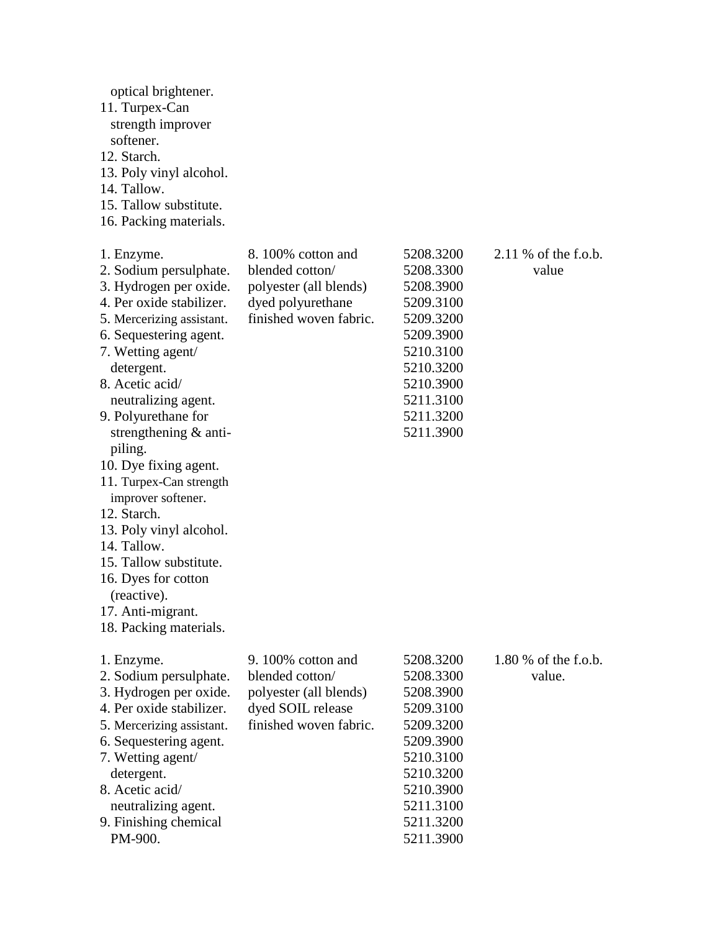| optical brightener.<br>11. Turpex-Can<br>strength improver<br>softener.<br>12. Starch.<br>13. Poly vinyl alcohol.<br>14. Tallow.<br>15. Tallow substitute.<br>16. Packing materials.                                                                                                                                                                                                                                                                                                                                                           |                                                                                                               |                                                                                                                                                          |                                  |
|------------------------------------------------------------------------------------------------------------------------------------------------------------------------------------------------------------------------------------------------------------------------------------------------------------------------------------------------------------------------------------------------------------------------------------------------------------------------------------------------------------------------------------------------|---------------------------------------------------------------------------------------------------------------|----------------------------------------------------------------------------------------------------------------------------------------------------------|----------------------------------|
| 1. Enzyme.<br>2. Sodium persulphate.<br>3. Hydrogen per oxide.<br>4. Per oxide stabilizer.<br>5. Mercerizing assistant.<br>6. Sequestering agent.<br>7. Wetting agent/<br>detergent.<br>8. Acetic acid/<br>neutralizing agent.<br>9. Polyurethane for<br>strengthening $\&$ anti-<br>piling.<br>10. Dye fixing agent.<br>11. Turpex-Can strength<br>improver softener.<br>12. Starch.<br>13. Poly vinyl alcohol.<br>14. Tallow.<br>15. Tallow substitute.<br>16. Dyes for cotton<br>(reactive).<br>17. Anti-migrant.<br>18. Packing materials. | 8.100% cotton and<br>blended cotton/<br>polyester (all blends)<br>dyed polyurethane<br>finished woven fabric. | 5208.3200<br>5208.3300<br>5208.3900<br>5209.3100<br>5209.3200<br>5209.3900<br>5210.3100<br>5210.3200<br>5210.3900<br>5211.3100<br>5211.3200<br>5211.3900 | $2.11\%$ of the f.o.b.<br>value  |
| 1. Enzyme.<br>2. Sodium persulphate.<br>3. Hydrogen per oxide.<br>4. Per oxide stabilizer.<br>5. Mercerizing assistant.<br>6. Sequestering agent.<br>7. Wetting agent/<br>detergent.<br>8. Acetic acid/<br>neutralizing agent.<br>9. Finishing chemical<br>PM-900.                                                                                                                                                                                                                                                                             | 9.100% cotton and<br>blended cotton/<br>polyester (all blends)<br>dyed SOIL release<br>finished woven fabric. | 5208.3200<br>5208.3300<br>5208.3900<br>5209.3100<br>5209.3200<br>5209.3900<br>5210.3100<br>5210.3200<br>5210.3900<br>5211.3100<br>5211.3200<br>5211.3900 | 1.80 $%$ of the f.o.b.<br>value. |